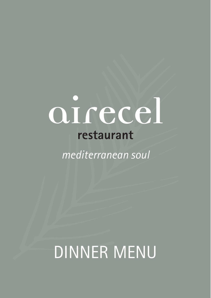## oirecel restaurant

mediterranean soul

DINNER MENU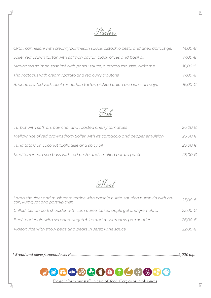Starters

ŀμ

击

٦Ļ

ъ

| Oxtail cannelloni with creamy parmesan sauce, pistachio pesto and dried apricot gel | $14,00 \in$ |
|-------------------------------------------------------------------------------------|-------------|
| Sóller red prawn tartar with salmon caviar, black olives and basil oil              | 17,00€      |
| Marinated salmon sashimi with ponzu sauce, avocado mousse, wakame                   | 16,00€      |
| Thay octopus with creamy potato and red curry croutons                              | 17,00€      |
| Brioche stuffed with beef tenderloin tartar, pickled onion and kimchi mayo          | 16,00€      |



| Turbot with saffron, pak choi and roasted cherry tomatoes                    | $26,00 \in$ |
|------------------------------------------------------------------------------|-------------|
| Mellow rice of red prawns from Sóller with its carpaccio and pepper emulsion | $25,00 \in$ |
| Tuna tataki on coconut tagliatelle and spicy oil                             | $23,00 \in$ |
| Mediterranean sea bass with red pesto and smoked potato purée                | $25,00 \in$ |

Meat

| Lamb shoulder and mushroom terrine with parsnip purée, sautéed pumpkin with ba-<br>con, kumquat and parsnip crisp | $23.00 \in$ |
|-------------------------------------------------------------------------------------------------------------------|-------------|
| Grilled iberian pork shoulder with corn puree, baked apple gel and gremolata                                      | $23,00 \in$ |
| Beef tenderloin with seasonal vegetables and mushrooms parmentier                                                 | 26,00€      |
| Pigeon rice with snow peas and pears in Jerez wine sauce                                                          | 22,00€      |

|--|--|



Please inform our staff in case of food allergies or intolerances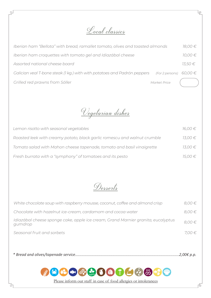Local classics

ι.

击

| Iberian ham "Bellota" with bread, ramallet tomato, olives and toasted almonds |                             | $18,00 \in$ |
|-------------------------------------------------------------------------------|-----------------------------|-------------|
| Iberian ham croquettes with tomato gel and Idiazábal cheese                   |                             | $10,00 \in$ |
| Assorted national cheese board                                                |                             | 13.50 €     |
| Galician veal T-bone steak (1 kg.) with with potatoes and Padrón peppers      | (For 2 persons) $60,00 \in$ |             |
| Grilled red prawns from Sóller                                                | Market Price                |             |

Vegetarian dishes

| Lemon risotto with seasonal vegetables                                   | $16,00 \in$ |
|--------------------------------------------------------------------------|-------------|
| Roasted leek with creamy potato, black garlic romescu and walnut crumble | $13,00 \in$ |
| Tomato salad with Mahon cheese tapenade, tomato and basil vinaigrette    | $13,00 \in$ |
| Fresh burrata with a "symphony" of tomatoes and its pesto                | $15,00 \in$ |

Desserts

| White chocolate soup with raspberry mousse, coconut, coffee and almond crisp                | $8.00 \in$ |
|---------------------------------------------------------------------------------------------|------------|
| Chocolate with hazelnut ice-cream, cardamom and cocoa water                                 | $8.00 \in$ |
| Idiazábal cheese sponge cake, apple ice cream, Grand Marnier granita, eucalyptus<br>gumdrop | $8,00 \in$ |
| Seasonal fruit and sorbets                                                                  | 7,00 €     |
|                                                                                             |            |

|--|--|

## 89 D  $\bullet \bullet \bullet \bullet \bullet \bullet \bullet \bullet \bullet$  $\begin{pmatrix} E & X \\ Y & Y \\ Y & Y \end{pmatrix}$ فكلل  $\mathcal{L}(\mathcal{E})$

Please inform our staff in case of food allergies or intolerances

g)